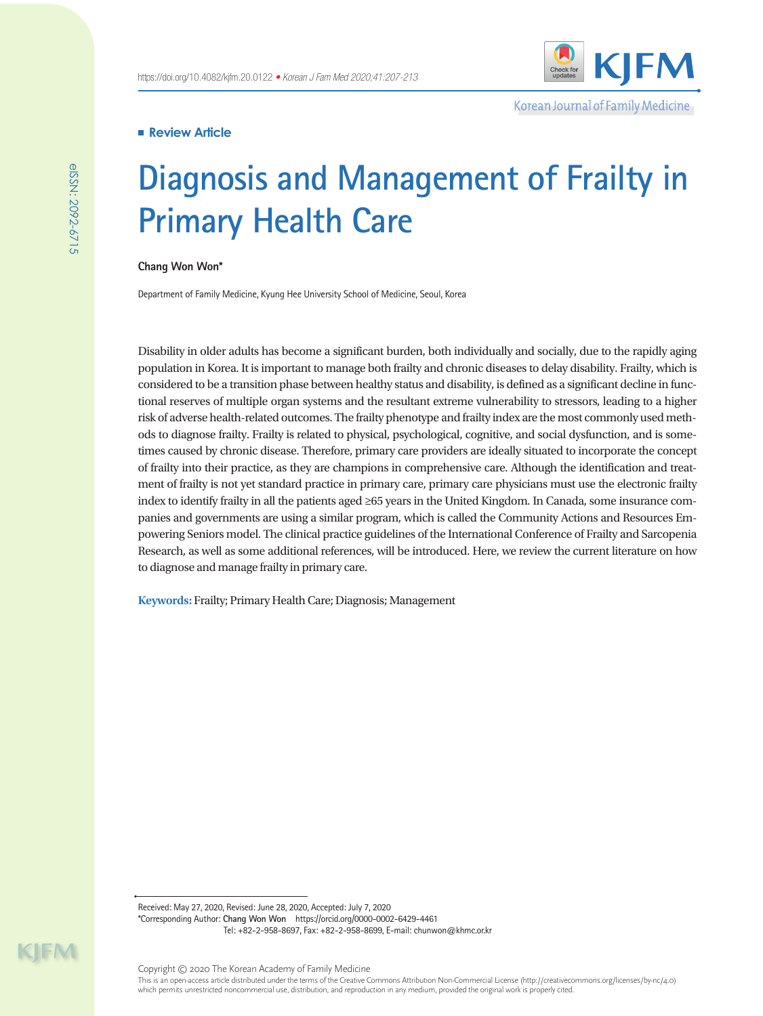Korean Journal of Family Medicine

# **Review Article**

# **Diagnosis and Management of Frailty in Primary Health Care**

**Chang Won Won\***

Department of Family Medicine, Kyung Hee University School of Medicine, Seoul, Korea

Disability in older adults has become a significant burden, both individually and socially, due to the rapidly aging population in Korea. It is important to manage both frailty and chronic diseases to delay disability. Frailty, which is considered to be a transition phase between healthy status and disability, is defined as a significant decline in functional reserves of multiple organ systems and the resultant extreme vulnerability to stressors, leading to a higher risk of adverse health-related outcomes. The frailty phenotype and frailty index are the most commonly used methods to diagnose frailty. Frailty is related to physical, psychological, cognitive, and social dysfunction, and is sometimes caused by chronic disease. Therefore, primary care providers are ideally situated to incorporate the concept of frailty into their practice, as they are champions in comprehensive care. Although the identification and treatment of frailty is not yet standard practice in primary care, primary care physicians must use the electronic frailty index to identify frailty in all the patients aged ≥65 years in the United Kingdom. In Canada, some insurance companies and governments are using a similar program, which is called the Community Actions and Resources Empowering Seniors model. The clinical practice guidelines of the International Conference of Frailty and Sarcopenia Research, as well as some additional references, will be introduced. Here, we review the current literature on how to diagnose and manage frailty in primary care.

**Keywords:** Frailty; Primary Health Care; Diagnosis; Management

Received: May 27, 2020, Revised: June 28, 2020, Accepted: July 7, 2020 \*Corresponding Author: **Chang Won Won** https://orcid.org/0000-0002-6429-4461 Tel: +82-2-958-8697, Fax: +82-2-958-8699, E-mail: chunwon@khmc.or.kr

 $\mathsf{H}\mathsf{M}$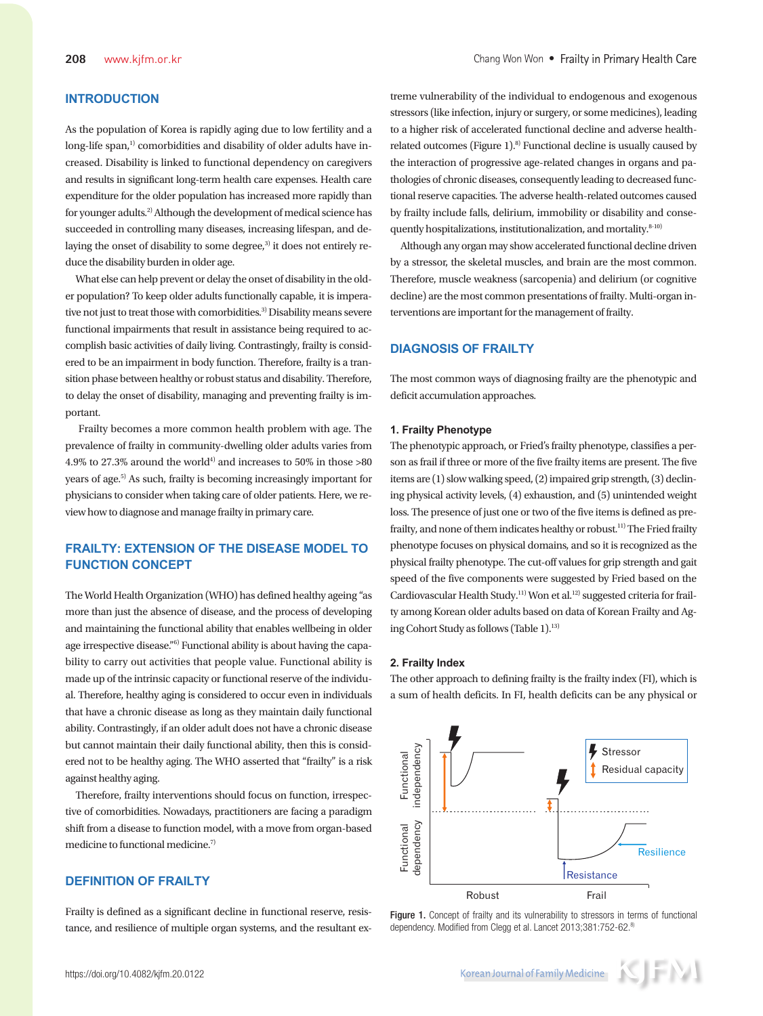# **INTRODUCTION**

As the population of Korea is rapidly aging due to low fertility and a  $long-life span<sup>1</sup>$  comorbidities and disability of older adults have increased. Disability is linked to functional dependency on caregivers and results in significant long-term health care expenses. Health care expenditure for the older population has increased more rapidly than for younger adults.2) Although the development of medical science has succeeded in controlling many diseases, increasing lifespan, and delaying the onset of disability to some degree, $3$  it does not entirely reduce the disability burden in older age.

What else can help prevent or delay the onset of disability in the older population? To keep older adults functionally capable, it is imperative not just to treat those with comorbidities.<sup>3)</sup> Disability means severe functional impairments that result in assistance being required to accomplish basic activities of daily living. Contrastingly, frailty is considered to be an impairment in body function. Therefore, frailty is a transition phase between healthy or robust status and disability. Therefore, to delay the onset of disability, managing and preventing frailty is important.

 Frailty becomes a more common health problem with age. The prevalence of frailty in community-dwelling older adults varies from  $4.9\%$  to  $27.3\%$  around the world $^4$  and increases to  $50\%$  in those  $> \! 80$ years of age.5) As such, frailty is becoming increasingly important for physicians to consider when taking care of older patients. Here, we review how to diagnose and manage frailty in primary care.

# **FRAILTY: EXTENSION OF THE DISEASE MODEL TO FUNCTION CONCEPT**

The World Health Organization (WHO) has defined healthy ageing "as more than just the absence of disease, and the process of developing and maintaining the functional ability that enables wellbeing in older age irrespective disease."<sup>6)</sup> Functional ability is about having the capability to carry out activities that people value. Functional ability is made up of the intrinsic capacity or functional reserve of the individual. Therefore, healthy aging is considered to occur even in individuals that have a chronic disease as long as they maintain daily functional ability. Contrastingly, if an older adult does not have a chronic disease but cannot maintain their daily functional ability, then this is considered not to be healthy aging. The WHO asserted that "frailty" is a risk against healthy aging.

Therefore, frailty interventions should focus on function, irrespective of comorbidities. Nowadays, practitioners are facing a paradigm shift from a disease to function model, with a move from organ-based medicine to functional medicine.7)

# **DEFINITION OF FRAILTY**

Frailty is defined as a significant decline in functional reserve, resistance, and resilience of multiple organ systems, and the resultant extreme vulnerability of the individual to endogenous and exogenous stressors (like infection, injury or surgery, or some medicines), leading to a higher risk of accelerated functional decline and adverse healthrelated outcomes (Figure 1). $8$ ) Functional decline is usually caused by the interaction of progressive age-related changes in organs and pathologies of chronic diseases, consequently leading to decreased functional reserve capacities. The adverse health-related outcomes caused by frailty include falls, delirium, immobility or disability and consequently hospitalizations, institutionalization, and mortality.<sup>8-10)</sup>

Although any organ may show accelerated functional decline driven by a stressor, the skeletal muscles, and brain are the most common. Therefore, muscle weakness (sarcopenia) and delirium (or cognitive decline) are the most common presentations of frailty. Multi-organ interventions are important for the management of frailty.

# **DIAGNOSIS OF FRAILTY**

The most common ways of diagnosing frailty are the phenotypic and deficit accumulation approaches.

#### **1. Frailty Phenotype**

The phenotypic approach, or Fried's frailty phenotype, classifies a person as frail if three or more of the five frailty items are present. The five items are (1) slow walking speed, (2) impaired grip strength, (3) declining physical activity levels, (4) exhaustion, and (5) unintended weight loss. The presence of just one or two of the five items is defined as prefrailty, and none of them indicates healthy or robust.11) The Fried frailty phenotype focuses on physical domains, and so it is recognized as the physical frailty phenotype. The cut-off values for grip strength and gait speed of the five components were suggested by Fried based on the Cardiovascular Health Study.<sup>11)</sup> Won et al.<sup>12)</sup> suggested criteria for frailty among Korean older adults based on data of Korean Frailty and Aging Cohort Study as follows (Table 1).<sup>13)</sup>

#### **2. Frailty Index**

The other approach to defining frailty is the frailty index (FI), which is a sum of health deficits. In FI, health deficits can be any physical or



Figure 1. Concept of frailty and its vulnerability to stressors in terms of functional dependency. Modified from Clegg et al. Lancet 2013;381:752-62.8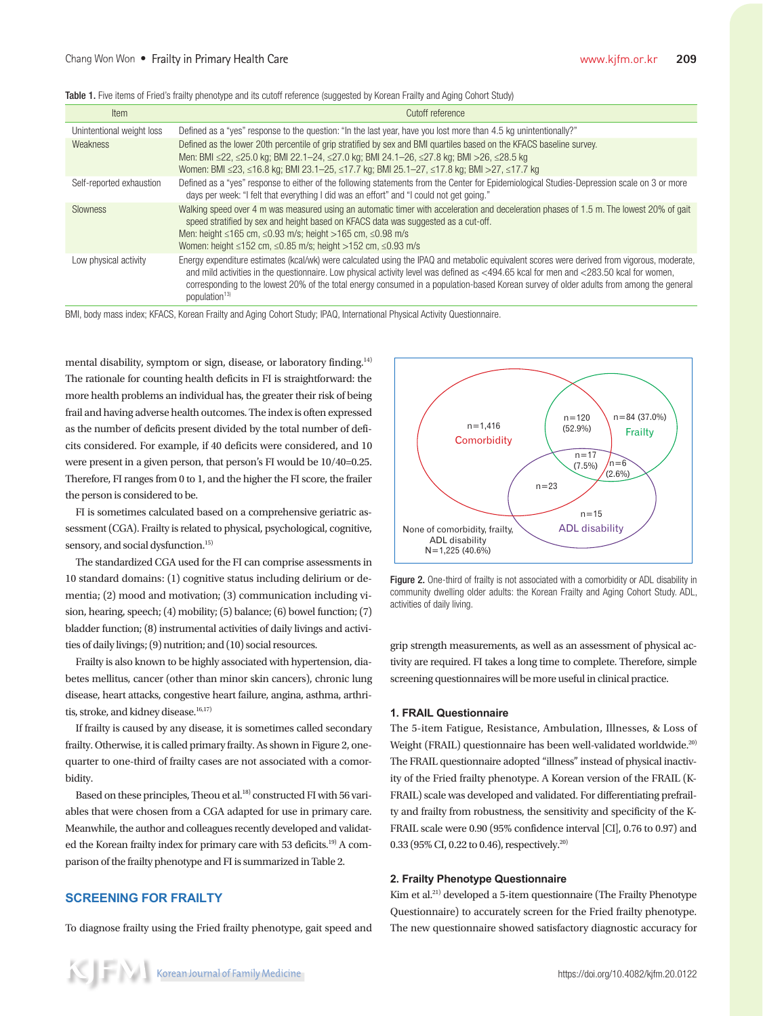|  | Table 1. Five items of Fried's frailty phenotype and its cutoff reference (suggested by Korean Frailty and Aging Cohort Study) |  |  |  |
|--|--------------------------------------------------------------------------------------------------------------------------------|--|--|--|
|  |                                                                                                                                |  |  |  |

| <b>Item</b>               | Cutoff reference                                                                                                                                                                                                                                                                                                                                                                                                                                             |
|---------------------------|--------------------------------------------------------------------------------------------------------------------------------------------------------------------------------------------------------------------------------------------------------------------------------------------------------------------------------------------------------------------------------------------------------------------------------------------------------------|
| Unintentional weight loss | Defined as a "yes" response to the question: "In the last year, have you lost more than 4.5 kg unintentionally?"                                                                                                                                                                                                                                                                                                                                             |
| <b>Weakness</b>           | Defined as the lower 20th percentile of grip stratified by sex and BMI quartiles based on the KFACS baseline survey.<br>Men: BMI ≤22, ≤25.0 kg; BMI 22.1–24, ≤27.0 kg; BMI 24.1–26, ≤27.8 kg; BMI >26, ≤28.5 kg<br>Women: BMI ≤23, ≤16.8 kg; BMI 23.1–25, ≤17.7 kg; BMI 25.1–27, ≤17.8 kg; BMI >27, ≤17.7 kg                                                                                                                                                 |
| Self-reported exhaustion  | Defined as a "yes" response to either of the following statements from the Center for Epidemiological Studies-Depression scale on 3 or more<br>". days per week: "I felt that everything I did was an effort" and "I could not get going."                                                                                                                                                                                                                   |
| <b>Slowness</b>           | Walking speed over 4 m was measured using an automatic timer with acceleration and deceleration phases of 1.5 m. The lowest 20% of gait<br>speed stratified by sex and height based on KFACS data was suggested as a cut-off.<br>Men: height ≤165 cm, ≤0.93 m/s; height >165 cm, ≤0.98 m/s<br>Women: height $\leq$ 152 cm, $\leq$ 0.85 m/s; height $>$ 152 cm, $\leq$ 0.93 m/s                                                                               |
| Low physical activity     | Energy expenditure estimates (kcal/wk) were calculated using the IPAQ and metabolic equivalent scores were derived from vigorous, moderate,<br>and mild activities in the questionnaire. Low physical activity level was defined as <494.65 kcal for men and <283.50 kcal for women,<br>corresponding to the lowest 20% of the total energy consumed in a population-based Korean survey of older adults from among the general<br>population <sup>13)</sup> |

BMI, body mass index; KFACS, Korean Frailty and Aging Cohort Study; IPAQ, International Physical Activity Questionnaire.

mental disability, symptom or sign, disease, or laboratory finding.14) The rationale for counting health deficits in FI is straightforward: the more health problems an individual has, the greater their risk of being frail and having adverse health outcomes. The index is often expressed as the number of deficits present divided by the total number of deficits considered. For example, if 40 deficits were considered, and 10 were present in a given person, that person's FI would be 10/40=0.25. Therefore, FI ranges from 0 to 1, and the higher the FI score, the frailer the person is considered to be.

FI is sometimes calculated based on a comprehensive geriatric assessment (CGA). Frailty is related to physical, psychological, cognitive, sensory, and social dysfunction.<sup>15)</sup>

The standardized CGA used for the FI can comprise assessments in 10 standard domains: (1) cognitive status including delirium or dementia; (2) mood and motivation; (3) communication including vision, hearing, speech; (4) mobility; (5) balance; (6) bowel function; (7) bladder function; (8) instrumental activities of daily livings and activities of daily livings; (9) nutrition; and (10) social resources.

Frailty is also known to be highly associated with hypertension, diabetes mellitus, cancer (other than minor skin cancers), chronic lung disease, heart attacks, congestive heart failure, angina, asthma, arthritis, stroke, and kidney disease.<sup>16,17)</sup>

If frailty is caused by any disease, it is sometimes called secondary frailty. Otherwise, it is called primary frailty. As shown in Figure 2, onequarter to one-third of frailty cases are not associated with a comorbidity.

Based on these principles, Theou et al.<sup>18)</sup> constructed FI with 56 variables that were chosen from a CGA adapted for use in primary care. Meanwhile, the author and colleagues recently developed and validated the Korean frailty index for primary care with 53 deficits.<sup>19)</sup> A comparison of the frailty phenotype and FI is summarized in Table 2.

# **SCREENING FOR FRAILTY**

To diagnose frailty using the Fried frailty phenotype, gait speed and



Figure 2. One-third of frailty is not associated with a comorbidity or ADL disability in community dwelling older adults: the Korean Frailty and Aging Cohort Study. ADL, activities of daily living.

grip strength measurements, as well as an assessment of physical activity are required. FI takes a long time to complete. Therefore, simple screening questionnaires will be more useful in clinical practice.

# **1. FRAIL Questionnaire**

The 5-item Fatigue, Resistance, Ambulation, Illnesses, & Loss of Weight (FRAIL) questionnaire has been well-validated worldwide.<sup>20)</sup> The FRAIL questionnaire adopted "illness" instead of physical inactivity of the Fried frailty phenotype. A Korean version of the FRAIL (K-FRAIL) scale was developed and validated. For differentiating prefrailty and frailty from robustness, the sensitivity and specificity of the K-FRAIL scale were 0.90 (95% confidence interval [CI], 0.76 to 0.97) and 0.33 (95% CI, 0.22 to 0.46), respectively.20)

### **2. Frailty Phenotype Questionnaire**

Kim et al.21) developed a 5-item questionnaire (The Frailty Phenotype Questionnaire) to accurately screen for the Fried frailty phenotype. The new questionnaire showed satisfactory diagnostic accuracy for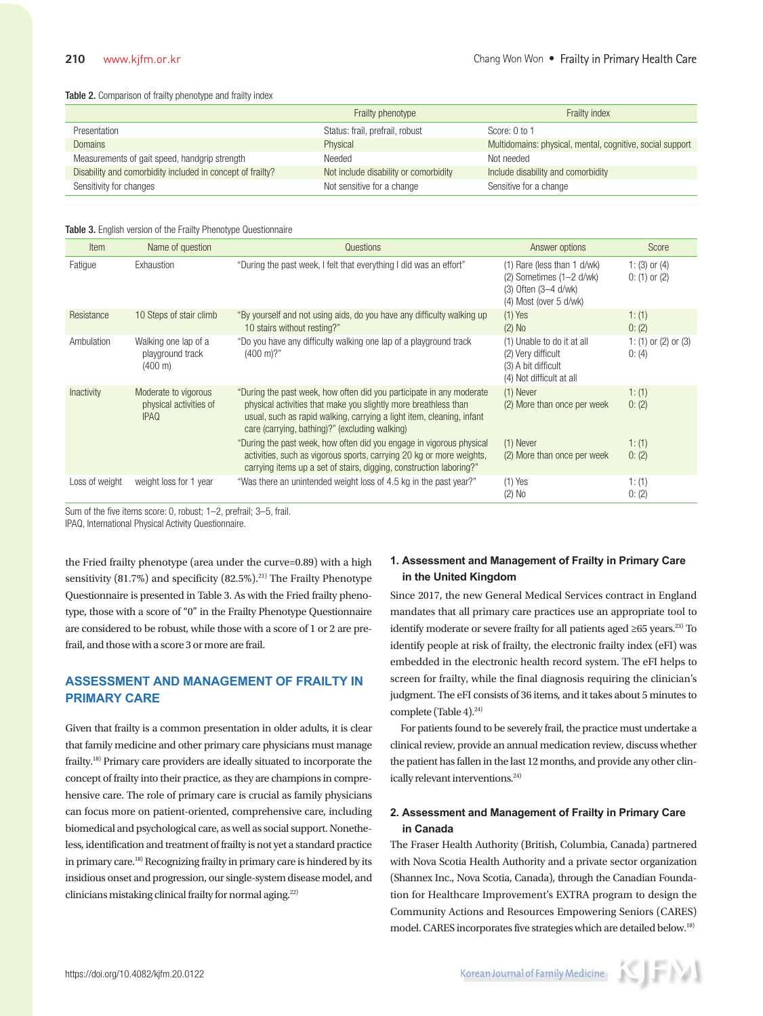#### Table 2. Comparison of frailty phenotype and frailty index

|                                                            | Frailty phenotype                     | Frailty index                                             |
|------------------------------------------------------------|---------------------------------------|-----------------------------------------------------------|
| Presentation                                               | Status: frail, prefrail, robust       | Score: 0 to 1                                             |
| <b>Domains</b>                                             | Physical                              | Multidomains: physical, mental, cognitive, social support |
| Measurements of gait speed, handgrip strength              | Needed                                | Not needed                                                |
| Disability and comorbidity included in concept of frailty? | Not include disability or comorbidity | Include disability and comorbidity                        |
| Sensitivity for changes                                    | Not sensitive for a change            | Sensitive for a change                                    |

#### Table 3. English version of the Frailty Phenotype Questionnaire

| Item           | Name of question                                              | Questions                                                                                                                                                                                                                                                          | Answer options                                                                                                  | Score                                  |
|----------------|---------------------------------------------------------------|--------------------------------------------------------------------------------------------------------------------------------------------------------------------------------------------------------------------------------------------------------------------|-----------------------------------------------------------------------------------------------------------------|----------------------------------------|
| Fatigue        | Exhaustion                                                    | "During the past week, I felt that everything I did was an effort"                                                                                                                                                                                                 | $(1)$ Rare (less than 1 d/wk)<br>$(2)$ Sometimes $(1-2$ d/wk)<br>(3) Often (3-4 d/wk)<br>(4) Most (over 5 d/wk) | 1: $(3)$ or $(4)$<br>$0: (1)$ or $(2)$ |
| Resistance     | 10 Steps of stair climb                                       | "By yourself and not using aids, do you have any difficulty walking up<br>10 stairs without resting?"                                                                                                                                                              | $(1)$ Yes<br>$(2)$ No                                                                                           | 1: (1)<br>0: (2)                       |
| Ambulation     | Walking one lap of a<br>playground track<br>$(400 \text{ m})$ | "Do you have any difficulty walking one lap of a playground track<br>$(400 \text{ m})$ ?"                                                                                                                                                                          | (1) Unable to do it at all<br>(2) Very difficult<br>(3) A bit difficult<br>(4) Not difficult at all             | 1: $(1)$ or $(2)$ or $(3)$<br>0: (4)   |
| Inactivity     | Moderate to vigorous<br>physical activities of<br><b>IPAQ</b> | "During the past week, how often did you participate in any moderate<br>physical activities that make you slightly more breathless than<br>usual, such as rapid walking, carrying a light item, cleaning, infant<br>care (carrying, bathing)?" (excluding walking) | $(1)$ Never<br>(2) More than once per week                                                                      | 1: (1)<br>0: (2)                       |
|                |                                                               | "During the past week, how often did you engage in vigorous physical<br>activities, such as vigorous sports, carrying 20 kg or more weights,<br>carrying items up a set of stairs, digging, construction laboring?"                                                | $(1)$ Never<br>(2) More than once per week                                                                      | 1: (1)<br>0: (2)                       |
| Loss of weight | weight loss for 1 year                                        | "Was there an unintended weight loss of 4.5 kg in the past year?"                                                                                                                                                                                                  | $(1)$ Yes<br>$(2)$ No                                                                                           | 1: (1)<br>0: (2)                       |

Sum of the five items score: 0, robust; 1–2, prefrail; 3–5, frail.

IPAQ, International Physical Activity Questionnaire.

the Fried frailty phenotype (area under the curve=0.89) with a high sensitivity  $(81.7\%)$  and specificity  $(82.5\%)$ <sup>21)</sup> The Frailty Phenotype Questionnaire is presented in Table 3. As with the Fried frailty phenotype, those with a score of "0" in the Frailty Phenotype Questionnaire are considered to be robust, while those with a score of 1 or 2 are prefrail, and those with a score 3 or more are frail.

# **ASSESSMENT AND MANAGEMENT OF FRAILTY IN PRIMARY CARE**

Given that frailty is a common presentation in older adults, it is clear that family medicine and other primary care physicians must manage frailty.18) Primary care providers are ideally situated to incorporate the concept of frailty into their practice, as they are champions in comprehensive care. The role of primary care is crucial as family physicians can focus more on patient-oriented, comprehensive care, including biomedical and psychological care, as well as social support. Nonetheless, identification and treatment of frailty is not yet a standard practice in primary care.18) Recognizing frailty in primary care is hindered by its insidious onset and progression, our single-system disease model, and clinicians mistaking clinical frailty for normal aging.<sup>22)</sup>

# **1. Assessment and Management of Frailty in Primary Care in the United Kingdom**

Since 2017, the new General Medical Services contract in England mandates that all primary care practices use an appropriate tool to identify moderate or severe frailty for all patients aged  $\geq 65$  years.<sup>23)</sup> To identify people at risk of frailty, the electronic frailty index (eFI) was embedded in the electronic health record system. The eFI helps to screen for frailty, while the final diagnosis requiring the clinician's judgment. The eFI consists of 36 items, and it takes about 5 minutes to complete (Table 4). $^{24)}$ 

For patients found to be severely frail, the practice must undertake a clinical review, provide an annual medication review, discuss whether the patient has fallen in the last 12 months, and provide any other clinically relevant interventions.<sup>24)</sup>

# **2. Assessment and Management of Frailty in Primary Care in Canada**

The Fraser Health Authority (British, Columbia, Canada) partnered with Nova Scotia Health Authority and a private sector organization (Shannex Inc., Nova Scotia, Canada), through the Canadian Foundation for Healthcare Improvement's EXTRA program to design the Community Actions and Resources Empowering Seniors (CARES) model. CARES incorporates five strategies which are detailed below.18)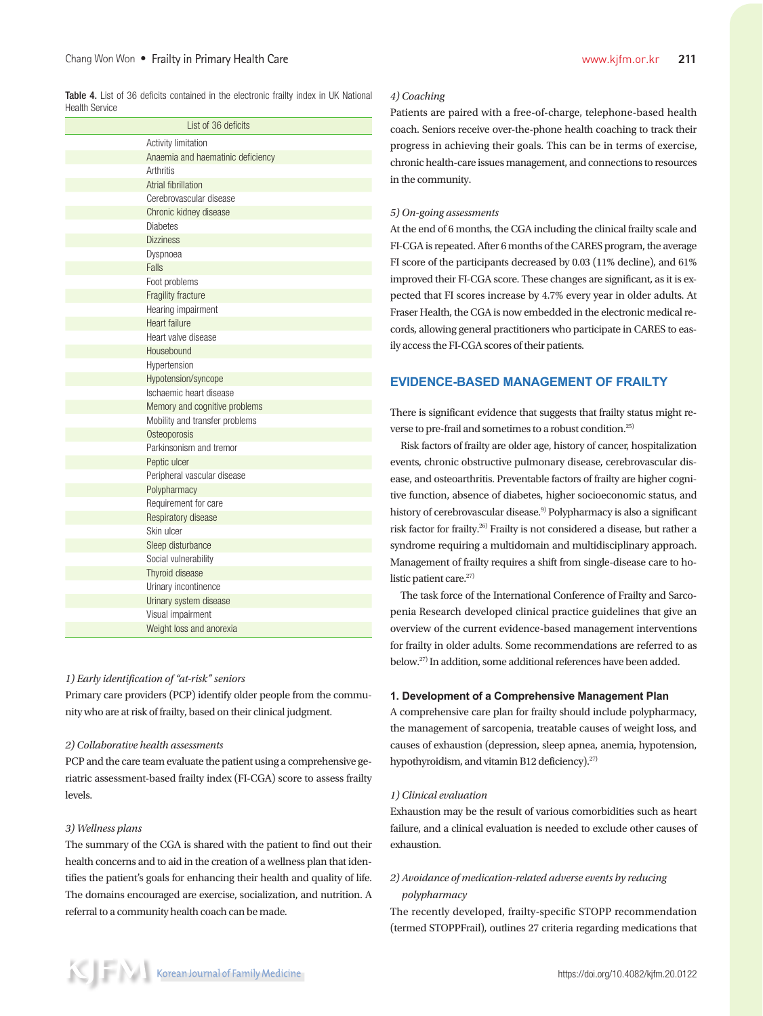Table 4. List of 36 deficits contained in the electronic frailty index in UK National Health Service

| List of 36 deficits               |
|-----------------------------------|
| Activity limitation               |
| Anaemia and haematinic deficiency |
| Arthritis                         |
| Atrial fibrillation               |
| Cerebrovascular disease           |
| Chronic kidney disease            |
| <b>Diabetes</b>                   |
| <b>Dizziness</b>                  |
| Dyspnoea                          |
| Falls                             |
| Foot problems                     |
| Fragility fracture                |
| Hearing impairment                |
| Heart failure                     |
| Heart valve disease               |
| Housebound                        |
| Hypertension                      |
| Hypotension/syncope               |
| Ischaemic heart disease           |
| Memory and cognitive problems     |
| Mobility and transfer problems    |
| Osteoporosis                      |
| Parkinsonism and tremor           |
| Peptic ulcer                      |
| Peripheral vascular disease       |
| Polypharmacy                      |
| Requirement for care              |
| Respiratory disease               |
| Skin ulcer                        |
| Sleep disturbance                 |
| Social vulnerability              |
| Thyroid disease                   |
| Urinary incontinence              |
| Urinary system disease            |
| Visual impairment                 |
| Weight loss and anorexia          |

### *1) Early identification of "at-risk" seniors*

Primary care providers (PCP) identify older people from the community who are at risk of frailty, based on their clinical judgment.

# *2) Collaborative health assessments*

PCP and the care team evaluate the patient using a comprehensive geriatric assessment-based frailty index (FI-CGA) score to assess frailty levels.

### *3) Wellness plans*

The summary of the CGA is shared with the patient to find out their health concerns and to aid in the creation of a wellness plan that identifies the patient's goals for enhancing their health and quality of life. The domains encouraged are exercise, socialization, and nutrition. A referral to a community health coach can be made.

#### *4) Coaching*

Patients are paired with a free-of-charge, telephone-based health coach. Seniors receive over-the-phone health coaching to track their progress in achieving their goals. This can be in terms of exercise, chronic health-care issues management, and connections to resources in the community.

#### *5) On-going assessments*

At the end of 6 months, the CGA including the clinical frailty scale and FI-CGA is repeated. After 6 months of the CARES program, the average FI score of the participants decreased by 0.03 (11% decline), and 61% improved their FI-CGA score. These changes are significant, as it is expected that FI scores increase by 4.7% every year in older adults. At Fraser Health, the CGA is now embedded in the electronic medical records, allowing general practitioners who participate in CARES to easily access the FI-CGA scores of their patients.

# **EVIDENCE-BASED MANAGEMENT OF FRAILTY**

There is significant evidence that suggests that frailty status might reverse to pre-frail and sometimes to a robust condition.25)

Risk factors of frailty are older age, history of cancer, hospitalization events, chronic obstructive pulmonary disease, cerebrovascular disease, and osteoarthritis. Preventable factors of frailty are higher cognitive function, absence of diabetes, higher socioeconomic status, and history of cerebrovascular disease.<sup>9)</sup> Polypharmacy is also a significant risk factor for frailty.26) Frailty is not considered a disease, but rather a syndrome requiring a multidomain and multidisciplinary approach. Management of frailty requires a shift from single-disease care to holistic patient care.<sup>27)</sup>

The task force of the International Conference of Frailty and Sarcopenia Research developed clinical practice guidelines that give an overview of the current evidence-based management interventions for frailty in older adults. Some recommendations are referred to as below.27) In addition, some additional references have been added.

#### **1. Development of a Comprehensive Management Plan**

A comprehensive care plan for frailty should include polypharmacy, the management of sarcopenia, treatable causes of weight loss, and causes of exhaustion (depression, sleep apnea, anemia, hypotension, hypothyroidism, and vitamin B12 deficiency).<sup>27)</sup>

#### *1) Clinical evaluation*

Exhaustion may be the result of various comorbidities such as heart failure, and a clinical evaluation is needed to exclude other causes of exhaustion.

# *2) Avoidance of medication-related adverse events by reducing polypharmacy*

The recently developed, frailty-specific STOPP recommendation (termed STOPPFrail), outlines 27 criteria regarding medications that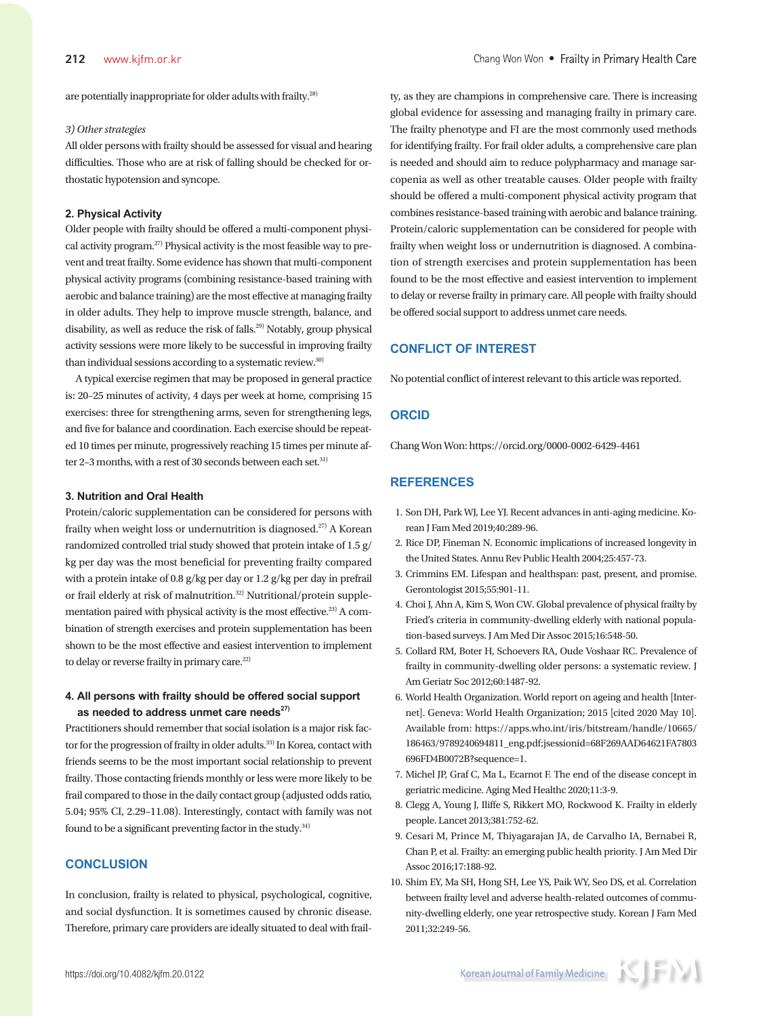are potentially inappropriate for older adults with frailty.28)

#### *3) Other strategies*

All older persons with frailty should be assessed for visual and hearing difficulties. Those who are at risk of falling should be checked for orthostatic hypotension and syncope.

## **2. Physical Activity**

Older people with frailty should be offered a multi-component physical activity program.27) Physical activity is the most feasible way to prevent and treat frailty. Some evidence has shown that multi-component physical activity programs (combining resistance-based training with aerobic and balance training) are the most effective at managing frailty in older adults. They help to improve muscle strength, balance, and disability, as well as reduce the risk of falls.<sup>29)</sup> Notably, group physical activity sessions were more likely to be successful in improving frailty than individual sessions according to a systematic review.<sup>30)</sup>

A typical exercise regimen that may be proposed in general practice is: 20–25 minutes of activity, 4 days per week at home, comprising 15 exercises: three for strengthening arms, seven for strengthening legs, and five for balance and coordination. Each exercise should be repeated 10 times per minute, progressively reaching 15 times per minute after 2-3 months, with a rest of 30 seconds between each set.<sup>31)</sup>

#### **3. Nutrition and Oral Health**

Protein/caloric supplementation can be considered for persons with frailty when weight loss or undernutrition is diagnosed.27) A Korean randomized controlled trial study showed that protein intake of 1.5 g/ kg per day was the most beneficial for preventing frailty compared with a protein intake of 0.8 g/kg per day or 1.2 g/kg per day in prefrail or frail elderly at risk of malnutrition.<sup>32)</sup> Nutritional/protein supplementation paired with physical activity is the most effective.<sup>23)</sup> A combination of strength exercises and protein supplementation has been shown to be the most effective and easiest intervention to implement to delay or reverse frailty in primary care.<sup>22)</sup>

# **4. All persons with frailty should be offered social support**  as needed to address unmet care needs<sup>27)</sup>

Practitioners should remember that social isolation is a major risk factor for the progression of frailty in older adults.<sup>33)</sup> In Korea, contact with friends seems to be the most important social relationship to prevent frailty. Those contacting friends monthly or less were more likely to be frail compared to those in the daily contact group (adjusted odds ratio, 5.04; 95% CI, 2.29–11.08). Interestingly, contact with family was not found to be a significant preventing factor in the study.<sup>34)</sup>

# **CONCLUSION**

In conclusion, frailty is related to physical, psychological, cognitive, and social dysfunction. It is sometimes caused by chronic disease. Therefore, primary care providers are ideally situated to deal with frail-

ty, as they are champions in comprehensive care. There is increasing global evidence for assessing and managing frailty in primary care. The frailty phenotype and FI are the most commonly used methods for identifying frailty. For frail older adults, a comprehensive care plan is needed and should aim to reduce polypharmacy and manage sarcopenia as well as other treatable causes. Older people with frailty should be offered a multi-component physical activity program that combines resistance-based training with aerobic and balance training. Protein/caloric supplementation can be considered for people with frailty when weight loss or undernutrition is diagnosed. A combination of strength exercises and protein supplementation has been found to be the most effective and easiest intervention to implement to delay or reverse frailty in primary care. All people with frailty should be offered social support to address unmet care needs.

# **CONFLICT OF INTEREST**

No potential conflict of interest relevant to this article was reported.

#### **ORCID**

Chang Won Won: https://orcid.org/0000-0002-6429-4461

# **REFERENCES**

- 1. Son DH, Park WJ, Lee YJ. Recent advances in anti-aging medicine. Korean J Fam Med 2019;40:289-96.
- 2. Rice DP, Fineman N. Economic implications of increased longevity in the United States. Annu Rev Public Health 2004;25:457-73.
- 3. Crimmins EM. Lifespan and healthspan: past, present, and promise. Gerontologist 2015;55:901-11.
- 4. Choi J, Ahn A, Kim S, Won CW. Global prevalence of physical frailty by Fried's criteria in community-dwelling elderly with national population-based surveys. J Am Med Dir Assoc 2015;16:548-50.
- 5. Collard RM, Boter H, Schoevers RA, Oude Voshaar RC. Prevalence of frailty in community-dwelling older persons: a systematic review. J Am Geriatr Soc 2012;60:1487-92.
- 6. World Health Organization. World report on ageing and health [Internet]. Geneva: World Health Organization; 2015 [cited 2020 May 10]. Available from: https://apps.who.int/iris/bitstream/handle/10665/ 186463/9789240694811\_eng.pdf;jsessionid=68F269AAD64621FA7803 696FD4B0072B?sequence=1.
- 7. Michel JP, Graf C, Ma L, Ecarnot F. The end of the disease concept in geriatric medicine. Aging Med Healthc 2020;11:3-9.
- 8. Clegg A, Young J, Iliffe S, Rikkert MO, Rockwood K. Frailty in elderly people. Lancet 2013;381:752-62.
- 9. Cesari M, Prince M, Thiyagarajan JA, de Carvalho IA, Bernabei R, Chan P, et al. Frailty: an emerging public health priority. J Am Med Dir Assoc 2016;17:188-92.
- 10. Shim EY, Ma SH, Hong SH, Lee YS, Paik WY, Seo DS, et al. Correlation between frailty level and adverse health-related outcomes of community-dwelling elderly, one year retrospective study. Korean J Fam Med 2011;32:249-56.